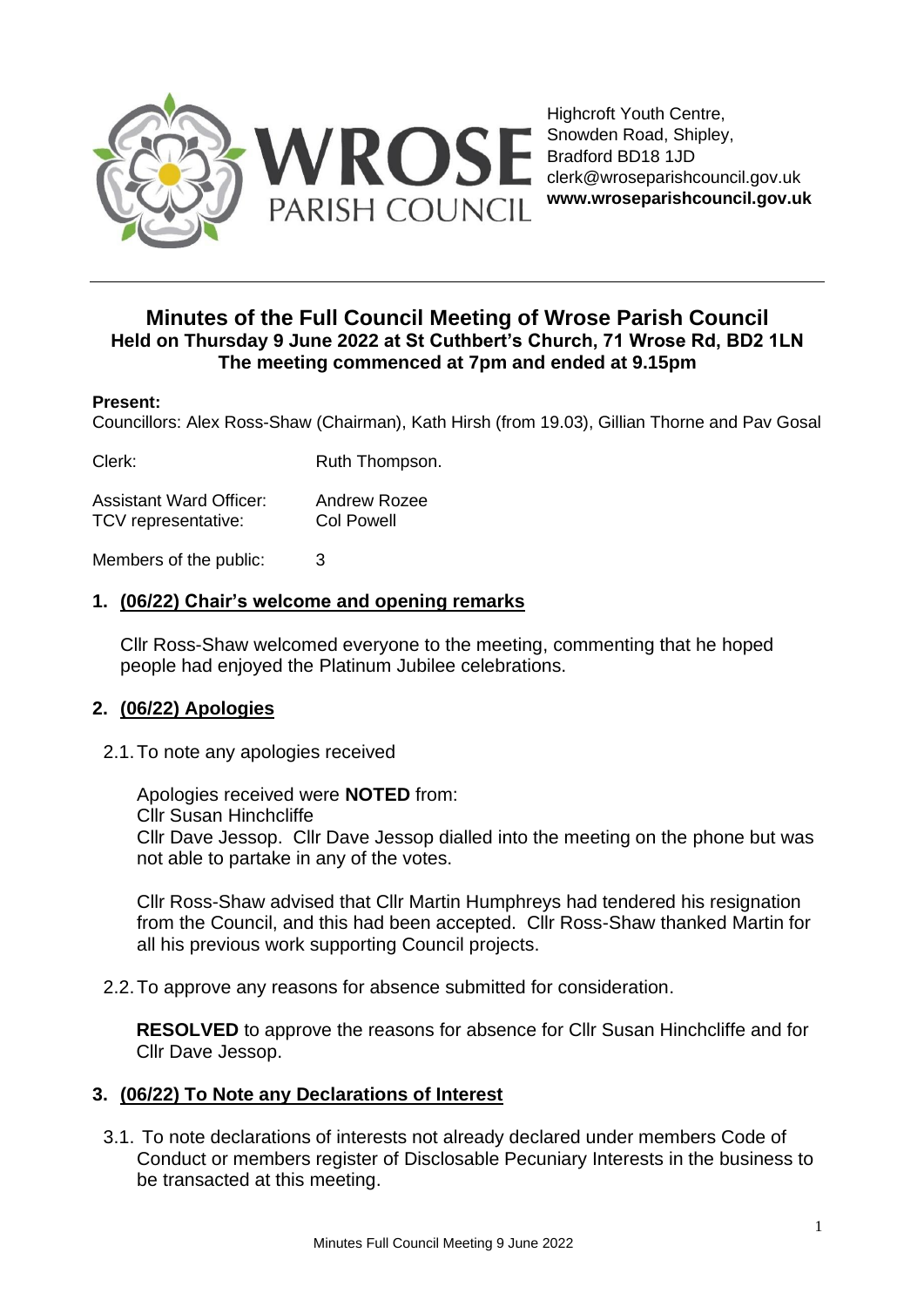

Highcroft Youth Centre, Snowden Road, Shipley, Bradford BD18 1JD clerk@wroseparishcouncil.gov.uk **www.wroseparishcouncil.gov.uk**

# **Minutes of the Full Council Meeting of Wrose Parish Council Held on Thursday 9 June 2022 at St Cuthbert's Church, 71 Wrose Rd, BD2 1LN The meeting commenced at 7pm and ended at 9.15pm**

#### **Present:**

Councillors: Alex Ross-Shaw (Chairman), Kath Hirsh (from 19.03), Gillian Thorne and Pav Gosal

Clerk: Ruth Thompson.

| <b>Assistant Ward Officer:</b> | <b>Andrew Rozee</b> |
|--------------------------------|---------------------|
| TCV representative:            | <b>Col Powell</b>   |

Members of the public: 3

## **1. (06/22) Chair's welcome and opening remarks**

Cllr Ross-Shaw welcomed everyone to the meeting, commenting that he hoped people had enjoyed the Platinum Jubilee celebrations.

## **2. (06/22) Apologies**

2.1.To note any apologies received

Apologies received were **NOTED** from: Cllr Susan Hinchcliffe Cllr Dave Jessop. Cllr Dave Jessop dialled into the meeting on the phone but was not able to partake in any of the votes.

Cllr Ross-Shaw advised that Cllr Martin Humphreys had tendered his resignation from the Council, and this had been accepted. Cllr Ross-Shaw thanked Martin for all his previous work supporting Council projects.

2.2.To approve any reasons for absence submitted for consideration.

**RESOLVED** to approve the reasons for absence for Cllr Susan Hinchcliffe and for Cllr Dave Jessop.

## **3. (06/22) To Note any Declarations of Interest**

3.1. To note declarations of interests not already declared under members Code of Conduct or members register of Disclosable Pecuniary Interests in the business to be transacted at this meeting.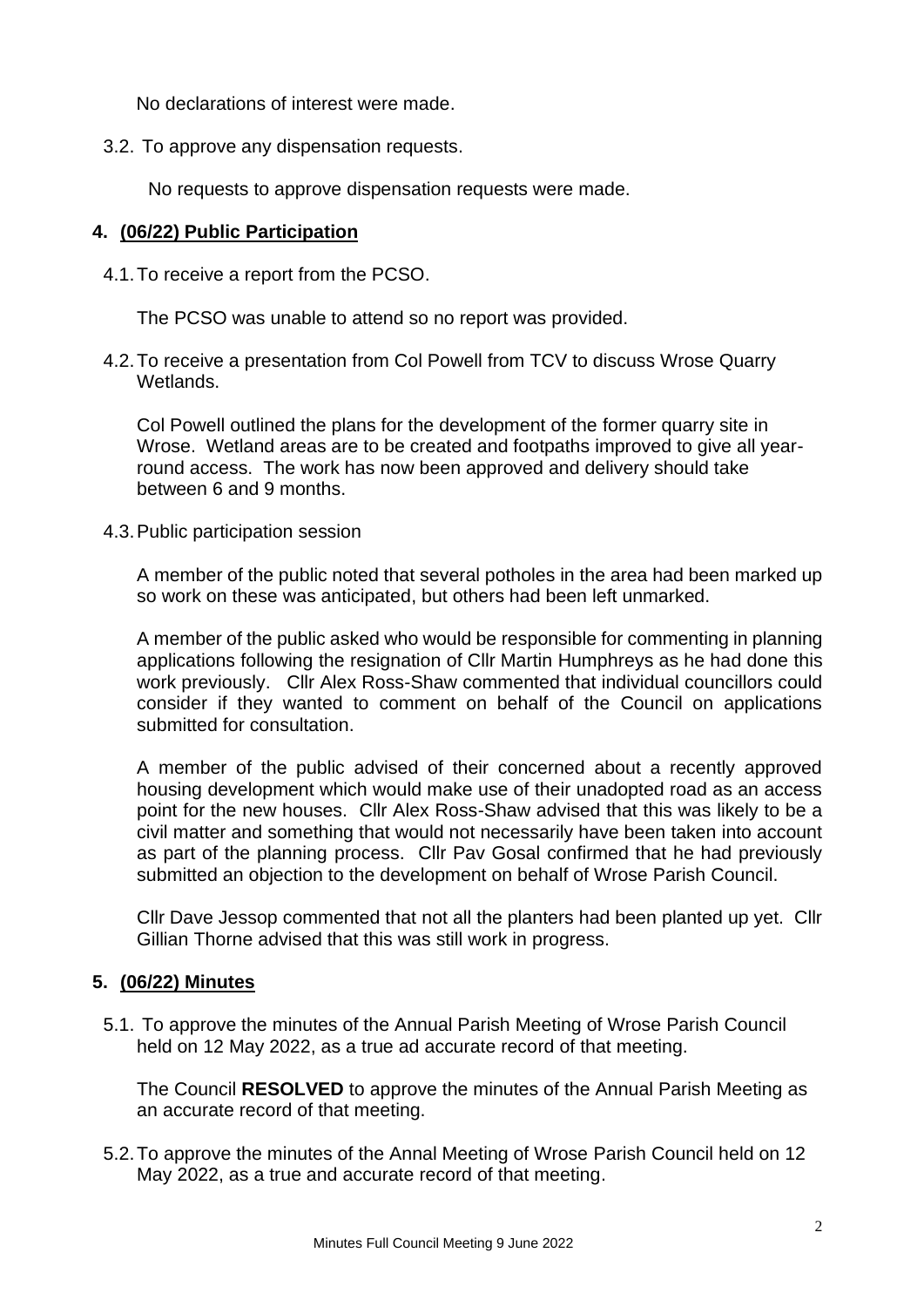No declarations of interest were made.

3.2. To approve any dispensation requests.

No requests to approve dispensation requests were made.

### **4. (06/22) Public Participation**

4.1.To receive a report from the PCSO.

The PCSO was unable to attend so no report was provided.

4.2.To receive a presentation from Col Powell from TCV to discuss Wrose Quarry Wetlands.

Col Powell outlined the plans for the development of the former quarry site in Wrose. Wetland areas are to be created and footpaths improved to give all yearround access. The work has now been approved and delivery should take between 6 and 9 months.

4.3.Public participation session

A member of the public noted that several potholes in the area had been marked up so work on these was anticipated, but others had been left unmarked.

A member of the public asked who would be responsible for commenting in planning applications following the resignation of Cllr Martin Humphreys as he had done this work previously. Cllr Alex Ross-Shaw commented that individual councillors could consider if they wanted to comment on behalf of the Council on applications submitted for consultation.

A member of the public advised of their concerned about a recently approved housing development which would make use of their unadopted road as an access point for the new houses. Cllr Alex Ross-Shaw advised that this was likely to be a civil matter and something that would not necessarily have been taken into account as part of the planning process. Cllr Pav Gosal confirmed that he had previously submitted an objection to the development on behalf of Wrose Parish Council.

Cllr Dave Jessop commented that not all the planters had been planted up yet. Cllr Gillian Thorne advised that this was still work in progress.

## **5. (06/22) Minutes**

5.1. To approve the minutes of the Annual Parish Meeting of Wrose Parish Council held on 12 May 2022, as a true ad accurate record of that meeting.

The Council **RESOLVED** to approve the minutes of the Annual Parish Meeting as an accurate record of that meeting.

5.2.To approve the minutes of the Annal Meeting of Wrose Parish Council held on 12 May 2022, as a true and accurate record of that meeting.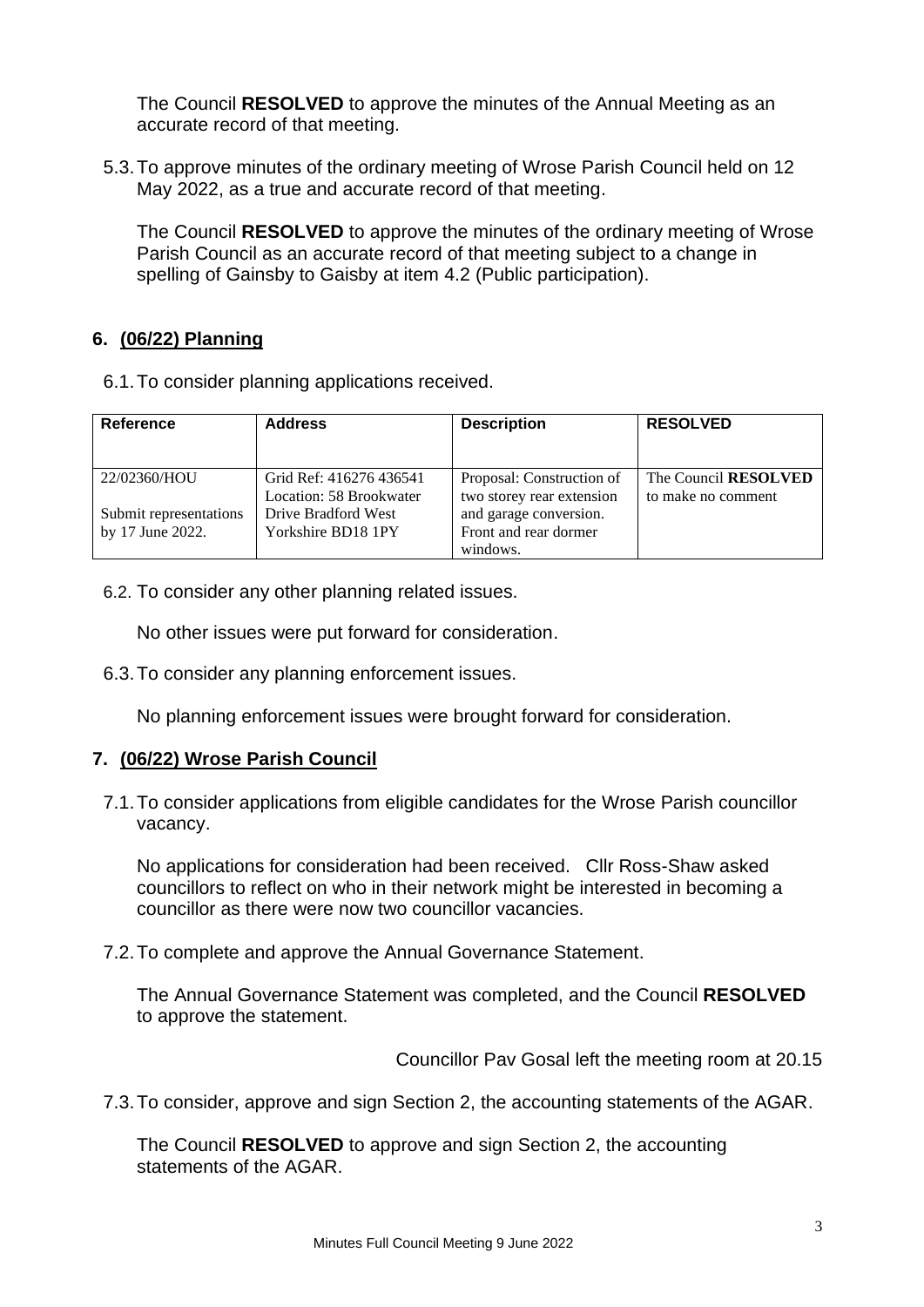The Council **RESOLVED** to approve the minutes of the Annual Meeting as an accurate record of that meeting.

5.3.To approve minutes of the ordinary meeting of Wrose Parish Council held on 12 May 2022, as a true and accurate record of that meeting.

The Council **RESOLVED** to approve the minutes of the ordinary meeting of Wrose Parish Council as an accurate record of that meeting subject to a change in spelling of Gainsby to Gaisby at item 4.2 (Public participation).

## **6. (06/22) Planning**

6.1.To consider planning applications received.

| <b>Reference</b>       | <b>Address</b>                                     | <b>Description</b>                                     | <b>RESOLVED</b>                            |
|------------------------|----------------------------------------------------|--------------------------------------------------------|--------------------------------------------|
| 22/02360/HOU           | Grid Ref: 416276 436541<br>Location: 58 Brookwater | Proposal: Construction of<br>two storey rear extension | The Council RESOLVED<br>to make no comment |
| Submit representations | Drive Bradford West                                | and garage conversion.                                 |                                            |
| by 17 June 2022.       | Yorkshire BD18 1PY                                 | Front and rear dormer                                  |                                            |
|                        |                                                    | windows.                                               |                                            |

6.2. To consider any other planning related issues.

No other issues were put forward for consideration.

6.3.To consider any planning enforcement issues.

No planning enforcement issues were brought forward for consideration.

## **7. (06/22) Wrose Parish Council**

7.1.To consider applications from eligible candidates for the Wrose Parish councillor vacancy.

No applications for consideration had been received. Cllr Ross-Shaw asked councillors to reflect on who in their network might be interested in becoming a councillor as there were now two councillor vacancies.

7.2.To complete and approve the Annual Governance Statement.

The Annual Governance Statement was completed, and the Council **RESOLVED** to approve the statement.

Councillor Pav Gosal left the meeting room at 20.15

7.3.To consider, approve and sign Section 2, the accounting statements of the AGAR.

The Council **RESOLVED** to approve and sign Section 2, the accounting statements of the AGAR.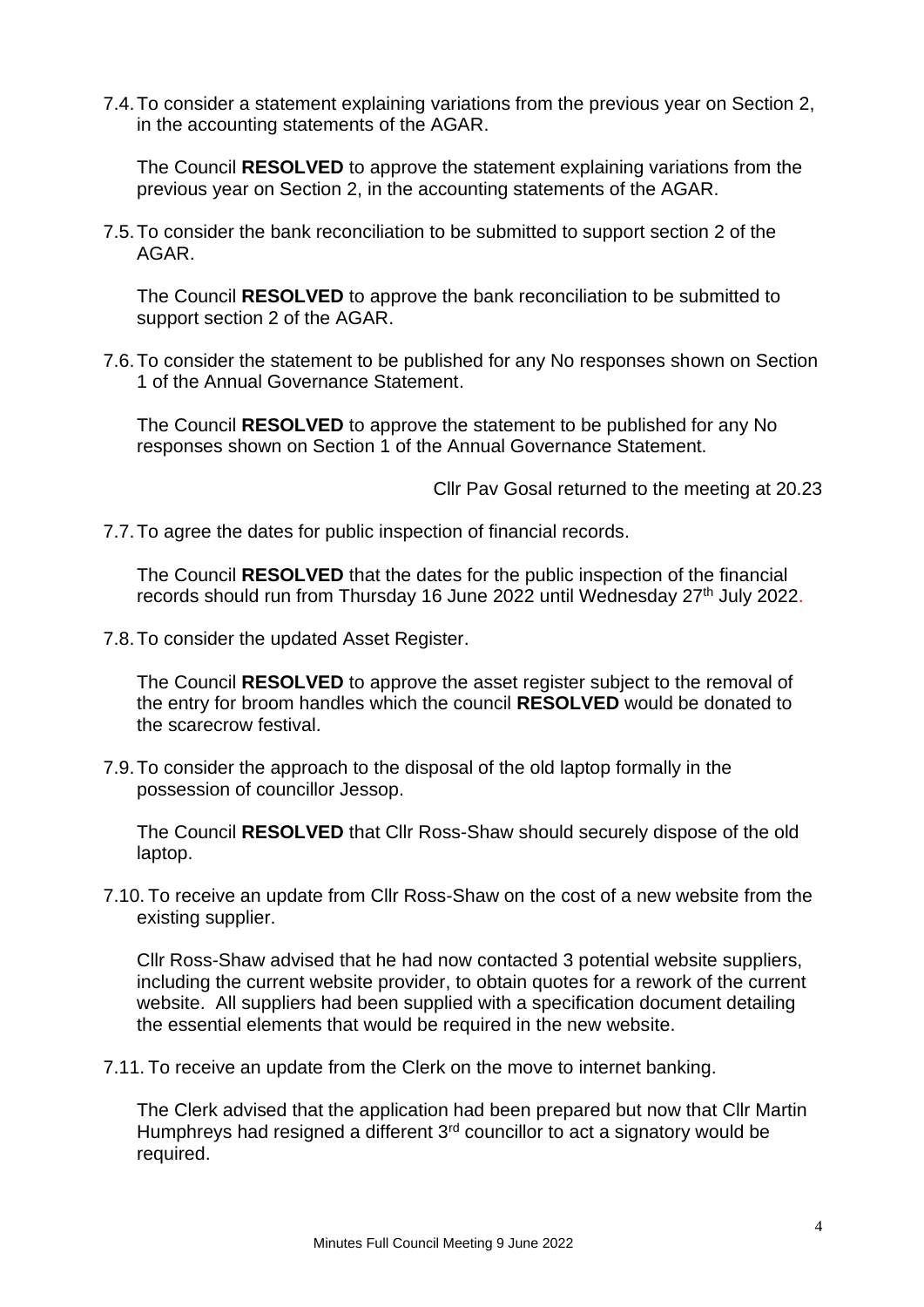7.4.To consider a statement explaining variations from the previous year on Section 2, in the accounting statements of the AGAR.

The Council **RESOLVED** to approve the statement explaining variations from the previous year on Section 2, in the accounting statements of the AGAR.

7.5.To consider the bank reconciliation to be submitted to support section 2 of the AGAR.

The Council **RESOLVED** to approve the bank reconciliation to be submitted to support section 2 of the AGAR.

7.6.To consider the statement to be published for any No responses shown on Section 1 of the Annual Governance Statement.

The Council **RESOLVED** to approve the statement to be published for any No responses shown on Section 1 of the Annual Governance Statement.

Cllr Pav Gosal returned to the meeting at 20.23

7.7.To agree the dates for public inspection of financial records.

The Council **RESOLVED** that the dates for the public inspection of the financial records should run from Thursday 16 June 2022 until Wednesday 27<sup>th</sup> July 2022.

7.8.To consider the updated Asset Register.

The Council **RESOLVED** to approve the asset register subject to the removal of the entry for broom handles which the council **RESOLVED** would be donated to the scarecrow festival.

7.9.To consider the approach to the disposal of the old laptop formally in the possession of councillor Jessop.

The Council **RESOLVED** that Cllr Ross-Shaw should securely dispose of the old laptop.

7.10. To receive an update from Cllr Ross-Shaw on the cost of a new website from the existing supplier.

Cllr Ross-Shaw advised that he had now contacted 3 potential website suppliers, including the current website provider, to obtain quotes for a rework of the current website. All suppliers had been supplied with a specification document detailing the essential elements that would be required in the new website.

7.11. To receive an update from the Clerk on the move to internet banking.

The Clerk advised that the application had been prepared but now that Cllr Martin Humphreys had resigned a different  $3<sup>rd</sup>$  councillor to act a signatory would be required.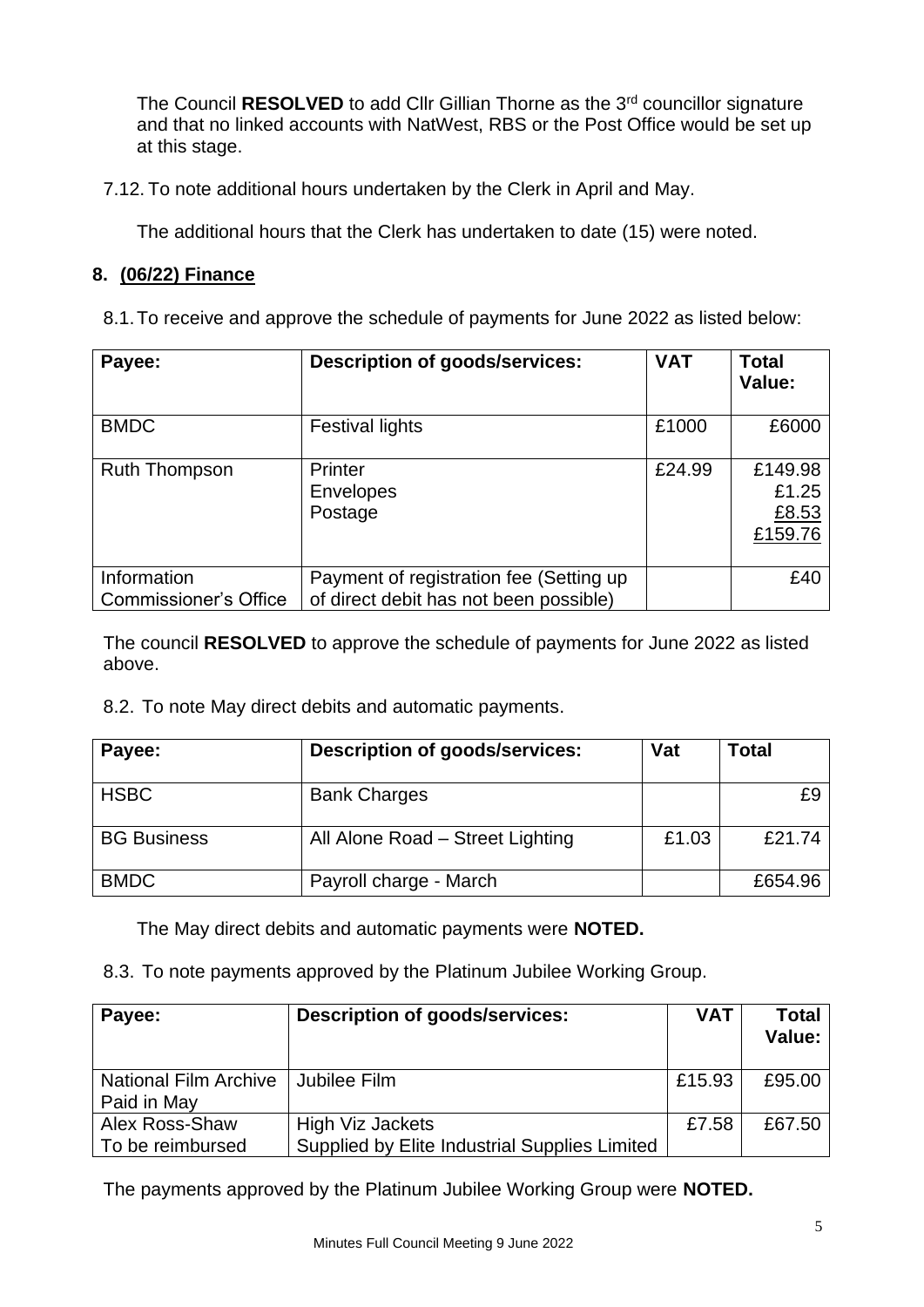The Council **RESOLVED** to add Cllr Gillian Thorne as the 3<sup>rd</sup> councillor signature and that no linked accounts with NatWest, RBS or the Post Office would be set up at this stage.

7.12. To note additional hours undertaken by the Clerk in April and May.

The additional hours that the Clerk has undertaken to date (15) were noted.

## **8. (06/22) Finance**

| Payee:                                      | <b>Description of goods/services:</b>                                             | <b>VAT</b> | <b>Total</b><br>Value:               |
|---------------------------------------------|-----------------------------------------------------------------------------------|------------|--------------------------------------|
| <b>BMDC</b>                                 | <b>Festival lights</b>                                                            | £1000      | £6000                                |
| <b>Ruth Thompson</b>                        | Printer<br><b>Envelopes</b><br>Postage                                            | £24.99     | £149.98<br>£1.25<br>£8.53<br>£159.76 |
| Information<br><b>Commissioner's Office</b> | Payment of registration fee (Setting up<br>of direct debit has not been possible) |            | £40                                  |

The council **RESOLVED** to approve the schedule of payments for June 2022 as listed above.

8.2. To note May direct debits and automatic payments.

| Payee:             | <b>Description of goods/services:</b> | Vat   | Total   |
|--------------------|---------------------------------------|-------|---------|
| <b>HSBC</b>        | <b>Bank Charges</b>                   |       | £ö      |
| <b>BG Business</b> | All Alone Road - Street Lighting      | £1.03 | £21.74  |
| <b>BMDC</b>        | Payroll charge - March                |       | £654.96 |

The May direct debits and automatic payments were **NOTED.**

8.3. To note payments approved by the Platinum Jubilee Working Group.

| Payee:                       | Description of goods/services:                | <b>VAT</b> | <b>Total</b><br>Value: |
|------------------------------|-----------------------------------------------|------------|------------------------|
| <b>National Film Archive</b> | Jubilee Film                                  | £15.93     | £95.00                 |
| Paid in May                  |                                               |            |                        |
| Alex Ross-Shaw               | High Viz Jackets                              | £7.58      | £67.50                 |
| To be reimbursed             | Supplied by Elite Industrial Supplies Limited |            |                        |

The payments approved by the Platinum Jubilee Working Group were **NOTED.**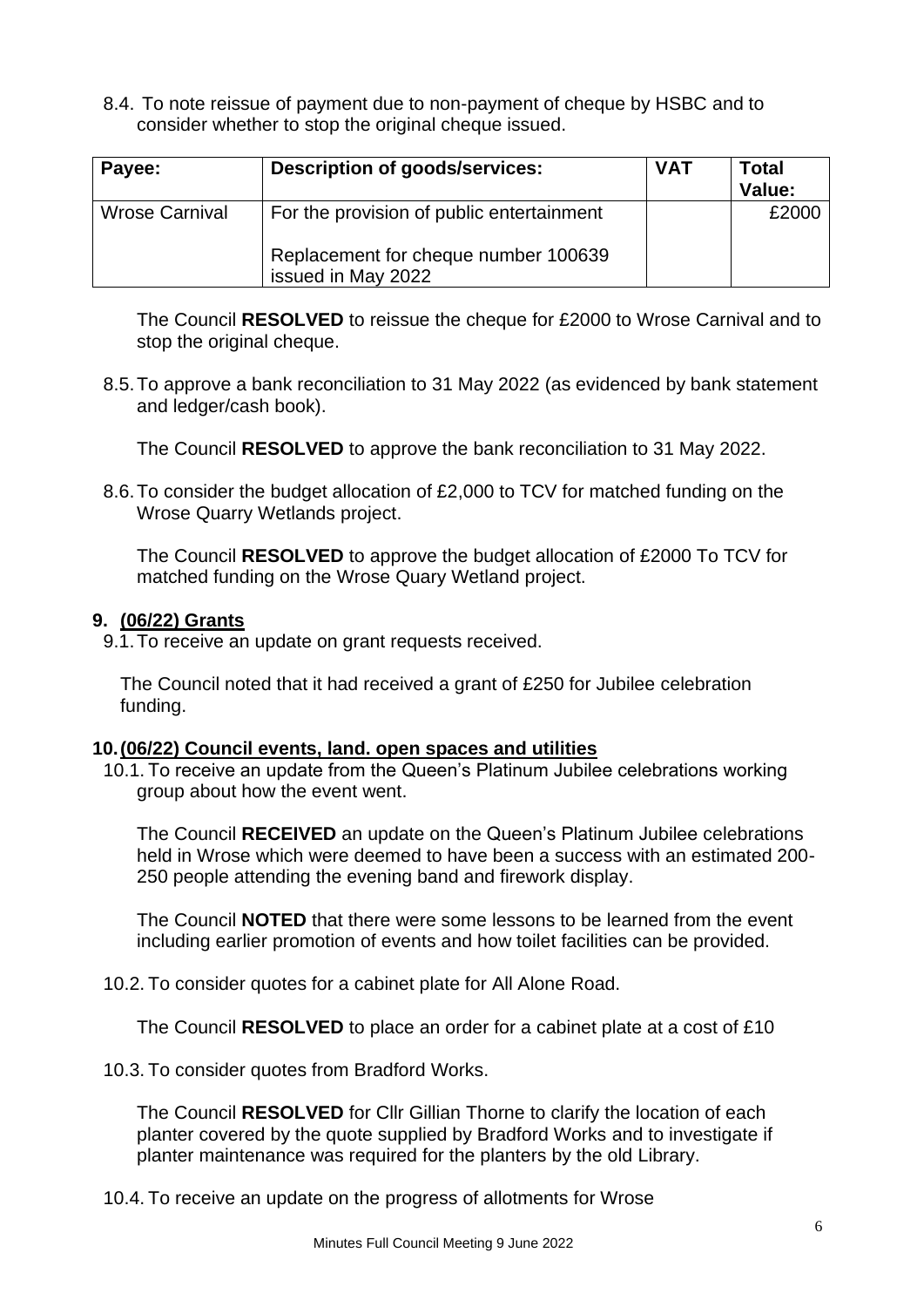8.4. To note reissue of payment due to non-payment of cheque by HSBC and to consider whether to stop the original cheque issued.

| Payee:                | Description of goods/services:                             | <b>VAT</b> | <b>Total</b><br>Value: |
|-----------------------|------------------------------------------------------------|------------|------------------------|
| <b>Wrose Carnival</b> | For the provision of public entertainment                  |            | £2000                  |
|                       | Replacement for cheque number 100639<br>issued in May 2022 |            |                        |

The Council **RESOLVED** to reissue the cheque for £2000 to Wrose Carnival and to stop the original cheque.

8.5.To approve a bank reconciliation to 31 May 2022 (as evidenced by bank statement and ledger/cash book).

The Council **RESOLVED** to approve the bank reconciliation to 31 May 2022.

8.6.To consider the budget allocation of £2,000 to TCV for matched funding on the Wrose Quarry Wetlands project.

The Council **RESOLVED** to approve the budget allocation of £2000 To TCV for matched funding on the Wrose Quary Wetland project.

## **9. (06/22) Grants**

9.1.To receive an update on grant requests received.

The Council noted that it had received a grant of £250 for Jubilee celebration funding.

## **10.(06/22) Council events, land. open spaces and utilities**

10.1. To receive an update from the Queen's Platinum Jubilee celebrations working group about how the event went.

The Council **RECEIVED** an update on the Queen's Platinum Jubilee celebrations held in Wrose which were deemed to have been a success with an estimated 200- 250 people attending the evening band and firework display.

The Council **NOTED** that there were some lessons to be learned from the event including earlier promotion of events and how toilet facilities can be provided.

10.2. To consider quotes for a cabinet plate for All Alone Road.

The Council **RESOLVED** to place an order for a cabinet plate at a cost of £10

10.3. To consider quotes from Bradford Works.

The Council **RESOLVED** for Cllr Gillian Thorne to clarify the location of each planter covered by the quote supplied by Bradford Works and to investigate if planter maintenance was required for the planters by the old Library.

10.4. To receive an update on the progress of allotments for Wrose